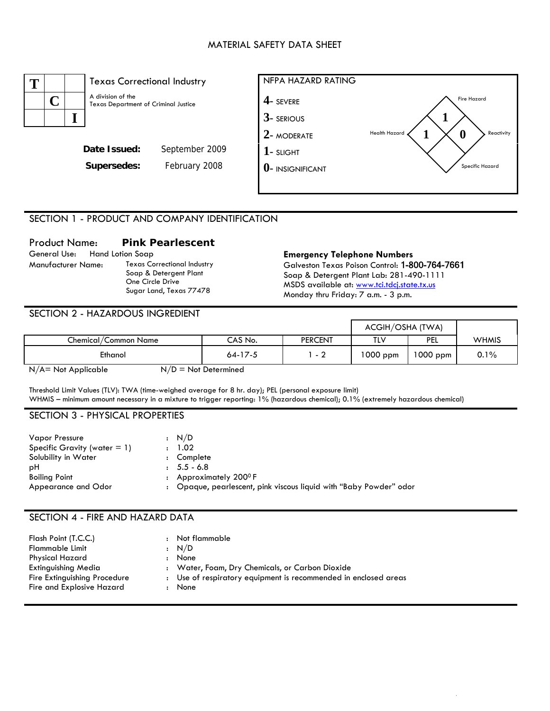# MATERIAL SAFETY DATA SHEET



# SECTION 1 - PRODUCT AND COMPANY IDENTIFICATION

# Product Name: **Pink Pearlescent**

General Use: Hand Lotion Soap **Emergency Telephone Numbers**  Texas Correctional Industry Soap & Detergent Plant One Circle Drive Sugar Land, Texas 77478

Galveston Texas Poison Control: 1-800-764-7661 Soap & Detergent Plant Lab: 281-490-1111 MSDS available at: www.tci.tdcj.state.tx.us Monday thru Friday: 7 a.m. - 3 p.m.

#### SECTION 2 - HAZARDOUS INGREDIENT

|                      |               |                | ACGIH/OSHA (TWA) |            |       |
|----------------------|---------------|----------------|------------------|------------|-------|
| Chemical/Common Name | CAS No.       | <b>PERCENT</b> | TLV              | <b>PEL</b> | WHMIS |
| Ethanol              | $64 - 17 - 5$ | - 2            | 1000 ppm         | $1000$ ppm | 0.1%  |

 $N/A$  = Not Applicable  $N/D$  = Not Determined

Threshold Limit Values (TLV): TWA (time-weighed average for 8 hr. day); PEL (personal exposure limit) WHMIS – minimum amount necessary in a mixture to trigger reporting: 1% (hazardous chemical); 0.1% (extremely hazardous chemical)

#### SECTION 3 - PHYSICAL PROPERTIES

| <b>Vapor Pressure</b>           | : N/D                                                              |
|---------------------------------|--------------------------------------------------------------------|
| Specific Gravity (water $= 1$ ) | : 1.02                                                             |
| Solubility in Water             | : Complete                                                         |
| рH                              | $: 5.5 - 6.8$                                                      |
| <b>Boiling Point</b>            | : Approximately $200^{\circ}$ F                                    |
| Appearance and Odor             | : Opaque, pearlescent, pink viscous liquid with "Baby Powder" odor |

# SECTION 4 - FIRE AND HAZARD DATA

| Flash Point (T.C.C.)         |                      | : Not flammable                                                 |
|------------------------------|----------------------|-----------------------------------------------------------------|
| Flammable Limit              |                      | : N/D                                                           |
| Physical Hazard              | $\ddot{\phantom{a}}$ | None                                                            |
| <b>Extinguishing Media</b>   |                      | : Water, Foam, Dry Chemicals, or Carbon Dioxide                 |
| Fire Extinguishing Procedure |                      | : Use of respiratory equipment is recommended in enclosed areas |
| Fire and Explosive Hazard    |                      | None                                                            |
|                              |                      |                                                                 |